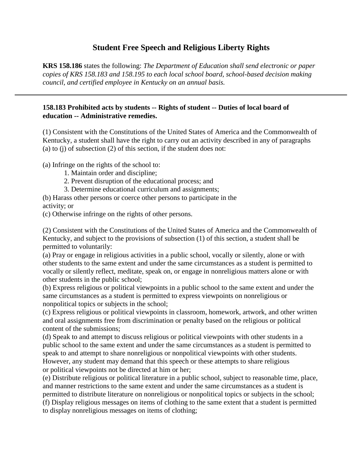## **Student Free Speech and Religious Liberty Rights**

**KRS 158.186** states the following: *The Department of Education shall send electronic or paper copies of KRS 158.183 and 158.195 to each local school board, school-based decision making council, and certified employee in Kentucky on an annual basis.*

## **158.183 Prohibited acts by students -- Rights of student -- Duties of local board of education -- Administrative remedies.**

(1) Consistent with the Constitutions of the United States of America and the Commonwealth of Kentucky, a student shall have the right to carry out an activity described in any of paragraphs (a) to (j) of subsection (2) of this section, if the student does not:

(a) Infringe on the rights of the school to:

- 1. Maintain order and discipline;
- 2. Prevent disruption of the educational process; and
- 3. Determine educational curriculum and assignments;

(b) Harass other persons or coerce other persons to participate in the activity; or

(c) Otherwise infringe on the rights of other persons.

(2) Consistent with the Constitutions of the United States of America and the Commonwealth of Kentucky, and subject to the provisions of subsection (1) of this section, a student shall be permitted to voluntarily:

(a) Pray or engage in religious activities in a public school, vocally or silently, alone or with other students to the same extent and under the same circumstances as a student is permitted to vocally or silently reflect, meditate, speak on, or engage in nonreligious matters alone or with other students in the public school;

(b) Express religious or political viewpoints in a public school to the same extent and under the same circumstances as a student is permitted to express viewpoints on nonreligious or nonpolitical topics or subjects in the school;

(c) Express religious or political viewpoints in classroom, homework, artwork, and other written and oral assignments free from discrimination or penalty based on the religious or political content of the submissions;

(d) Speak to and attempt to discuss religious or political viewpoints with other students in a public school to the same extent and under the same circumstances as a student is permitted to speak to and attempt to share nonreligious or nonpolitical viewpoints with other students. However, any student may demand that this speech or these attempts to share religious or political viewpoints not be directed at him or her;

(e) Distribute religious or political literature in a public school, subject to reasonable time, place, and manner restrictions to the same extent and under the same circumstances as a student is permitted to distribute literature on nonreligious or nonpolitical topics or subjects in the school; (f) Display religious messages on items of clothing to the same extent that a student is permitted to display nonreligious messages on items of clothing;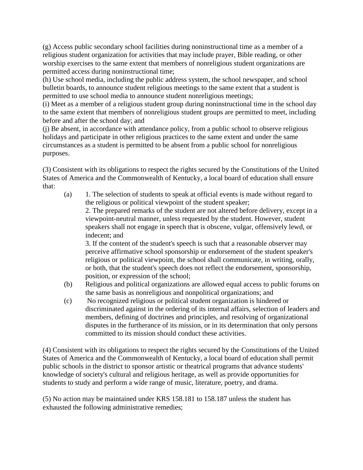(g) Access public secondary school facilities during noninstructional time as a member of a religious student organization for activities that may include prayer, Bible reading, or other worship exercises to the same extent that members of nonreligious student organizations are permitted access during noninstructional time;

(h) Use school media, including the public address system, the school newspaper, and school bulletin boards, to announce student religious meetings to the same extent that a student is permitted to use school media to announce student nonreligious meetings;

(i) Meet as a member of a religious student group during noninstructional time in the school day to the same extent that members of nonreligious student groups are permitted to meet, including before and after the school day; and

(j) Be absent, in accordance with attendance policy, from a public school to observe religious holidays and participate in other religious practices to the same extent and under the same circumstances as a student is permitted to be absent from a public school for nonreligious purposes.

(3) Consistent with its obligations to respect the rights secured by the Constitutions of the United States of America and the Commonwealth of Kentucky, a local board of education shall ensure that:

(a) 1. The selection of students to speak at official events is made without regard to the religious or political viewpoint of the student speaker;

2. The prepared remarks of the student are not altered before delivery, except in a viewpoint-neutral manner, unless requested by the student. However, student speakers shall not engage in speech that is obscene, vulgar, offensively lewd, or indecent; and

3. If the content of the student's speech is such that a reasonable observer may perceive affirmative school sponsorship or endorsement of the student speaker's religious or political viewpoint, the school shall communicate, in writing, orally, or both, that the student's speech does not reflect the endorsement, sponsorship, position, or expression of the school;

- (b) Religious and political organizations are allowed equal access to public forums on the same basis as nonreligious and nonpolitical organizations; and
- (c) No recognized religious or political student organization is hindered or discriminated against in the ordering of its internal affairs, selection of leaders and members, defining of doctrines and principles, and resolving of organizational disputes in the furtherance of its mission, or in its determination that only persons committed to its mission should conduct these activities.

(4) Consistent with its obligations to respect the rights secured by the Constitutions of the United States of America and the Commonwealth of Kentucky, a local board of education shall permit public schools in the district to sponsor artistic or theatrical programs that advance students' knowledge of society's cultural and religious heritage, as well as provide opportunities for students to study and perform a wide range of music, literature, poetry, and drama.

(5) No action may be maintained under KRS 158.181 to 158.187 unless the student has exhausted the following administrative remedies;